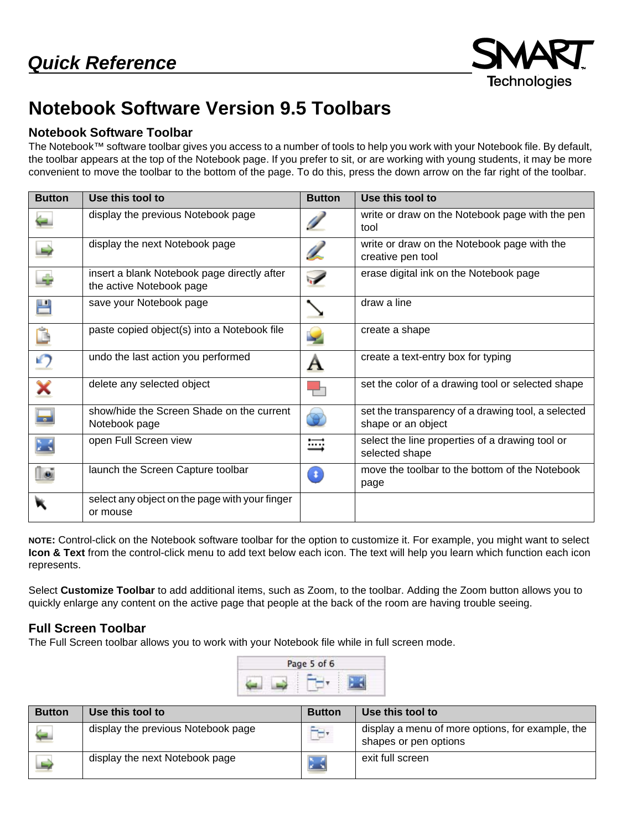

## **Notebook Software Version 9.5 Toolbars**

## **Notebook Software Toolbar**

The Notebook™ software toolbar gives you access to a number of tools to help you work with your Notebook file. By default, the toolbar appears at the top of the Notebook page. If you prefer to sit, or are working with young students, it may be more convenient to move the toolbar to the bottom of the page. To do this, press the down arrow on the far right of the toolbar.

| <b>Button</b> | Use this tool to                                                        | <b>Button</b> | Use this tool to                                                         |
|---------------|-------------------------------------------------------------------------|---------------|--------------------------------------------------------------------------|
|               | display the previous Notebook page                                      |               | write or draw on the Notebook page with the pen<br>tool                  |
|               | display the next Notebook page                                          |               | write or draw on the Notebook page with the<br>creative pen tool         |
|               | insert a blank Notebook page directly after<br>the active Notebook page | $\cdot$       | erase digital ink on the Notebook page                                   |
| 쁜             | save your Notebook page                                                 |               | draw a line                                                              |
|               | paste copied object(s) into a Notebook file                             |               | create a shape                                                           |
| ŋ             | undo the last action you performed                                      | Α             | create a text-entry box for typing                                       |
|               | delete any selected object                                              |               | set the color of a drawing tool or selected shape                        |
| ᆗ             | show/hide the Screen Shade on the current<br>Notebook page              | ❤             | set the transparency of a drawing tool, a selected<br>shape or an object |
|               | open Full Screen view                                                   | ≕             | select the line properties of a drawing tool or<br>selected shape        |
|               | launch the Screen Capture toolbar                                       | л.            | move the toolbar to the bottom of the Notebook<br>page                   |
|               | select any object on the page with your finger<br>or mouse              |               |                                                                          |

**NOTE:** Control-click on the Notebook software toolbar for the option to customize it. For example, you might want to select **Icon & Text** from the control-click menu to add text below each icon. The text will help you learn which function each icon represents.

Select **Customize Toolbar** to add additional items, such as Zoom, to the toolbar. Adding the Zoom button allows you to quickly enlarge any content on the active page that people at the back of the room are having trouble seeing.

## **Full Screen Toolbar**

The Full Screen toolbar allows you to work with your Notebook file while in full screen mode.



| <b>Button</b> | Use this tool to                   | <b>Button</b>  | Use this tool to                                                          |
|---------------|------------------------------------|----------------|---------------------------------------------------------------------------|
|               | display the previous Notebook page | $\overline{a}$ | display a menu of more options, for example, the<br>shapes or pen options |
|               | display the next Notebook page     |                | exit full screen                                                          |